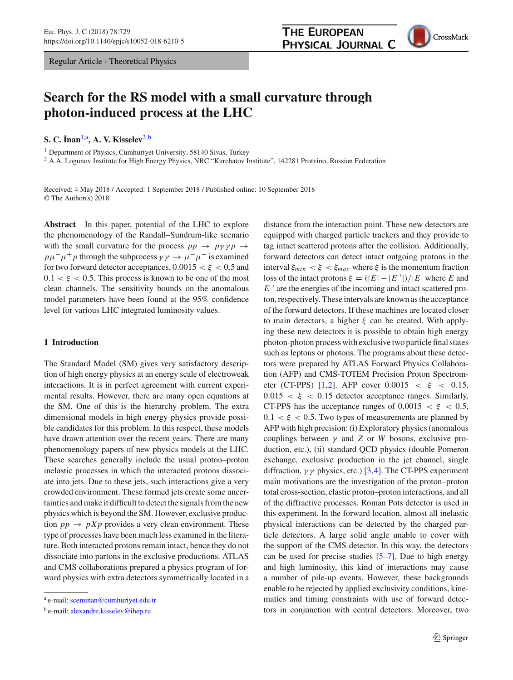Regular Article - Theoretical Physics

# **Search for the RS model with a small curvature through photon-induced process at the LHC**

**S. C. ˙ Inan**[1,](#page-0-0)a**, A. V. Kisselev**[2,](#page-0-0)b

<sup>1</sup> Department of Physics, Cumhuriyet University, 58140 Sivas, Turkey

<sup>2</sup> A.A. Logunov Institute for High Energy Physics, NRC "Kurchatov Institute", 142281 Protvino, Russian Federation

Received: 4 May 2018 / Accepted: 1 September 2018 / Published online: 10 September 2018 © The Author(s) 2018

**Abstract** In this paper, potential of the LHC to explore the phenomenology of the Randall–Sundrum-like scenario with the small curvature for the process  $pp \rightarrow py\gamma p \rightarrow$  $p\mu^-\mu^+p$  through the subprocess  $\gamma\gamma \to \mu^-\mu^+$  is examined for two forward detector acceptances,  $0.0015 < \xi < 0.5$  and  $0.1 < \xi < 0.5$ . This process is known to be one of the most clean channels. The sensitivity bounds on the anomalous model parameters have been found at the 95% confidence level for various LHC integrated luminosity values.

## <span id="page-0-1"></span>**1 Introduction**

The Standard Model (SM) gives very satisfactory description of high energy physics at an energy scale of electroweak interactions. It is in perfect agreement with current experimental results. However, there are many open equations at the SM. One of this is the hierarchy problem. The extra dimensional models in high energy physics provide possible candidates for this problem. In this respect, these models have drawn attention over the recent years. There are many phenomenology papers of new physics models at the LHC. These searches generally include the usual proton–proton inelastic processes in which the interacted protons dissociate into jets. Due to these jets, such interactions give a very crowded environment. These formed jets create some uncertainties and make it difficult to detect the signals from the new physics which is beyond the SM. However, exclusive production  $pp \rightarrow pXp$  provides a very clean environment. These type of processes have been much less examined in the literature. Both interacted protons remain intact, hence they do not dissociate into partons in the exclusive productions. ATLAS and CMS collaborations prepared a physics program of forward physics with extra detectors symmetrically located in a <span id="page-0-0"></span>distance from the interaction point. These new detectors are equipped with charged particle trackers and they provide to tag intact scattered protons after the collision. Additionally, forward detectors can detect intact outgoing protons in the interval  $\xi_{min} < \xi < \xi_{max}$  where  $\xi$  is the momentum fraction loss of the intact protons  $\xi = (|E| - |E'|)/|E|$  where *E* and  $E'$  are the energies of the incoming and intact scattered proton, respectively. These intervals are known as the acceptance of the forward detectors. If these machines are located closer to main detectors, a higher  $\xi$  can be created. With applying these new detectors it is possible to obtain high energy photon-photon process with exclusive two particle final states such as leptons or photons. The programs about these detectors were prepared by ATLAS Forward Physics Collaboration (AFP) and CMS-TOTEM Precision Proton Spectrom-eter (CT-PPS) [\[1](#page-8-0)[,2](#page-8-1)]. AFP cover  $0.0015 < \xi < 0.15$ ,  $0.015 < \xi < 0.15$  detector acceptance ranges. Similarly, CT-PPS has the acceptance ranges of  $0.0015 < \xi < 0.5$ ,  $0.1 < \xi < 0.5$ . Two types of measurements are planned by AFP with high precision: (i) Exploratory physics (anomalous couplings between γ and *Z* or *W* bosons, exclusive production, etc.), (ii) standard QCD physics (double Pomeron exchange, exclusive production in the jet channel, single diffraction,  $\gamma \gamma$  physics, etc.) [\[3](#page-8-2)[,4](#page-8-3)]. The CT-PPS experiment main motivations are the investigation of the proton–proton total cross-section, elastic proton–proton interactions, and all of the diffractive processes. Roman Pots detector is used in this experiment. In the forward location, almost all inelastic physical interactions can be detected by the charged particle detectors. A large solid angle unable to cover with the support of the CMS detector. In this way, the detectors can be used for precise studies [\[5](#page-8-4)[–7](#page-8-5)]. Due to high energy and high luminosity, this kind of interactions may cause a number of pile-up events. However, these backgrounds enable to be rejected by applied exclusivity conditions, kinematics and timing constraints with use of forward detectors in conjunction with central detectors. Moreover, two



<sup>a</sup> e-mail: [sceminan@cumhuriyet.edu.tr](mailto:sceminan@cumhuriyet.edu.tr)

b e-mail: [alexandre.kisselev@ihep.ru](mailto:alexandre.kisselev@ihep.ru)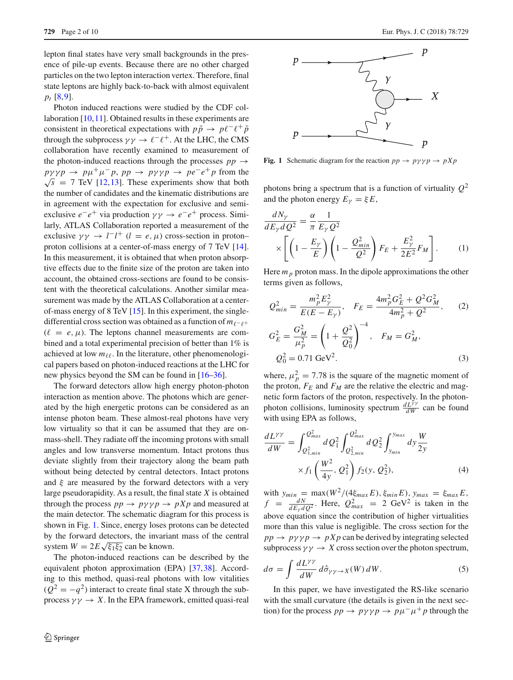lepton final states have very small backgrounds in the presence of pile-up events. Because there are no other charged particles on the two lepton interaction vertex. Therefore, final state leptons are highly back-to-back with almost equivalent *pt* [\[8](#page-9-0),[9](#page-9-1)].

Photon induced reactions were studied by the CDF col-laboration [\[10,](#page-9-2)[11\]](#page-9-3). Obtained results in these experiments are consistent in theoretical expectations with  $p\bar{p} \rightarrow p\ell^- \ell^+ \bar{p}$ through the subprocess  $\gamma \gamma \rightarrow \ell^- \ell^+$ . At the LHC, the CMS collaboration have recently examined to measurement of the photon-induced reactions through the processes  $pp \rightarrow$  $p \gamma \gamma p \rightarrow p \mu^+ \mu^- p$ ,  $p p \rightarrow p \gamma \gamma p \rightarrow p e^- e^+ p$  from the  $\sqrt{s}$  = 7 TeV [\[12](#page-9-4)[,13](#page-9-5)]. These experiments show that both the number of candidates and the kinematic distributions are in agreement with the expectation for exclusive and semiexclusive  $e^-e^+$  via production  $\gamma \gamma \rightarrow e^-e^+$  process. Similarly, ATLAS Collaboration reported a measurement of the exclusive  $\gamma \gamma \rightarrow l^{-}l^{+}$  (*l* = *e*,  $\mu$ ) cross-section in proton– proton collisions at a center-of-mass energy of 7 TeV [\[14](#page-9-6)]. In this measurement, it is obtained that when proton absorptive effects due to the finite size of the proton are taken into account, the obtained cross-sections are found to be consistent with the theoretical calculations. Another similar measurement was made by the ATLAS Collaboration at a centerof-mass energy of 8 TeV [\[15\]](#page-9-7). In this experiment, the singledifferential cross section was obtained as a function of  $m_{\ell^-}$ +  $(\ell = e, \mu)$ . The leptons channel measurements are combined and a total experimental precision of better than 1% is achieved at low  $m_{\ell\ell}$ . In the literature, other phenomenological papers based on photon-induced reactions at the LHC for new physics beyond the SM can be found in [\[16](#page-9-8)[–36\]](#page-9-9).

The forward detectors allow high energy photon-photon interaction as mention above. The photons which are generated by the high energetic protons can be considered as an intense photon beam. These almost-real photons have very low virtuality so that it can be assumed that they are onmass-shell. They radiate off the incoming protons with small angles and low transverse momentum. Intact protons thus deviate slightly from their trajectory along the beam path without being detected by central detectors. Intact protons and  $\xi$  are measured by the forward detectors with a very large pseudorapidity. As a result, the final state *X* is obtained through the process  $pp \rightarrow py \gamma p \rightarrow p X p$  and measured at the main detector. The schematic diagram for this process is shown in Fig. [1.](#page-1-0) Since, energy loses protons can be detected by the forward detectors, the invariant mass of the central system  $W = 2E\sqrt{\xi_1\xi_2}$  can be known.

The photon-induced reactions can be described by the equivalent photon approximation (EPA) [\[37](#page-9-10)[,38](#page-9-11)]. According to this method, quasi-real photons with low vitalities  $(Q^{2} = -q^{2})$  interact to create final state X through the subprocess  $\gamma \gamma \rightarrow X$ . In the EPA framework, emitted quasi-real



<span id="page-1-0"></span>**Fig. 1** Schematic diagram for the reaction  $pp \rightarrow py\gamma p \rightarrow pXp$ 

photons bring a spectrum that is a function of virtuality  $Q^2$ and the photon energy  $E_{\gamma} = \xi E$ ,

$$
\frac{dN_{\gamma}}{dE_{\gamma}dQ^2} = \frac{\alpha}{\pi} \frac{1}{E_{\gamma}Q^2}
$$
\n
$$
\times \left[ \left( 1 - \frac{E_{\gamma}}{E} \right) \left( 1 - \frac{Q_{min}^2}{Q^2} \right) F_E + \frac{E_{\gamma}^2}{2E^2} F_M \right].
$$
\n(1)

Here  $m_p$  proton mass. In the dipole approximations the other terms given as follows,

$$
Q_{min}^2 = \frac{m_p^2 E_\gamma^2}{E(E - E_\gamma)}, \quad F_E = \frac{4m_p^2 G_E^2 + Q^2 G_M^2}{4m_p^2 + Q^2}, \quad (2)
$$

$$
G_E^2 = \frac{G_M^2}{\mu_p^2} = \left(1 + \frac{Q^2}{Q_0^2}\right)^{-4}, \quad F_M = G_M^2,
$$

$$
Q_0^2 = 0.71 \text{ GeV}^2. \quad (3)
$$

where,  $\mu_p^2 = 7.78$  is the square of the magnetic moment of the proton,  $F_E$  and  $F_M$  are the relative the electric and magnetic form factors of the proton, respectively. In the photonphoton collisions, luminosity spectrum  $\frac{dL^{\gamma\gamma}}{dW}$  can be found with using EPA as follows,

$$
\frac{dL^{\gamma\gamma}}{dW} = \int_{Q_{1,min}^2}^{Q_{max}^2} dQ_1^2 \int_{Q_{2,min}^2}^{Q_{max}^2} dQ_2^2 \int_{y_{min}}^{y_{max}} dy \frac{W}{2y} \times f_1 \left(\frac{W^2}{4y}, Q_1^2\right) f_2(y, Q_2^2), \tag{4}
$$

with  $y_{min} = \max(W^2/(4\xi_{max}E), \xi_{min}E)$ ,  $y_{max} = \xi_{max}E$ ,  $f = \frac{dN}{dE_{\gamma}dQ^2}$ . Here,  $Q_{max}^2 = 2 \text{ GeV}^2$  is taken in the above equation since the contribution of higher virtualities more than this value is negligible. The cross section for the  $pp \rightarrow py\gamma p \rightarrow pXp$  can be derived by integrating selected subprocess  $\gamma \gamma \rightarrow X$  cross section over the photon spectrum,

<span id="page-1-1"></span>
$$
d\sigma = \int \frac{dL^{\gamma\gamma}}{dW} d\hat{\sigma}_{\gamma\gamma \to X}(W) \, dW. \tag{5}
$$

In this paper, we have investigated the RS-like scenario with the small curvature (the details is given in the next section) for the process  $pp \to py\gamma p \to p\mu^- \mu^+ p$  through the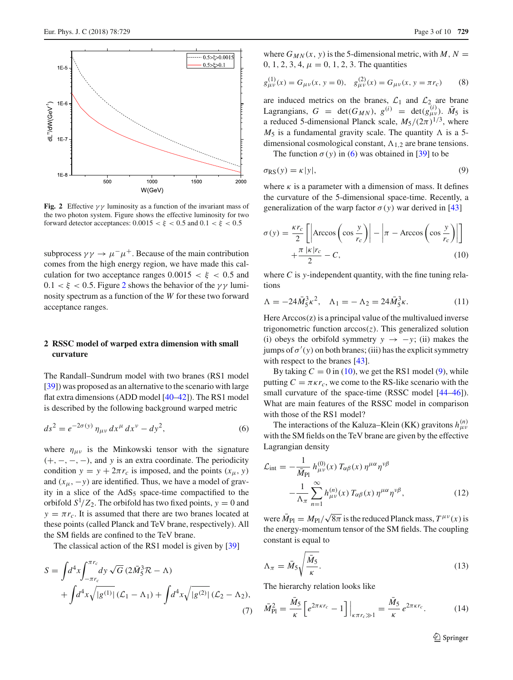

<span id="page-2-0"></span>**Fig. 2** Effective  $\gamma \gamma$  luminosity as a function of the invariant mass of the two photon system. Figure shows the effective luminosity for two forward detector acceptances:  $0.0015 < \xi < 0.5$  and  $0.1 < \xi < 0.5$ 

subprocess  $\gamma \gamma \rightarrow \mu^- \mu^+$ . Because of the main contribution comes from the high energy region, we have made this calculation for two acceptance ranges  $0.0015 < \xi < 0.5$  and  $0.1 < \xi < 0.5$ . Figure [2](#page-2-0) shows the behavior of the  $\gamma \gamma$  luminosity spectrum as a function of the *W* for these two forward acceptance ranges.

## **2 RSSC model of warped extra dimension with small curvature**

The Randall–Sundrum model with two branes (RS1 model [\[39](#page-9-12)]) was proposed as an alternative to the scenario with large flat extra dimensions (ADD model [\[40](#page-9-13)[–42\]](#page-9-14)). The RS1 model is described by the following background warped metric

<span id="page-2-1"></span>
$$
ds^{2} = e^{-2\sigma(y)} \eta_{\mu\nu} dx^{\mu} dx^{\nu} - dy^{2}, \qquad (6)
$$

where  $\eta_{\mu\nu}$  is the Minkowski tensor with the signature (+, −, −, −), and *y* is an extra coordinate. The periodicity condition  $y = y + 2\pi r_c$  is imposed, and the points  $(x_\mu, y)$ and  $(x_{\mu}, -y)$  are identified. Thus, we have a model of gravity in a slice of the  $AdS_5$  space-time compactified to the orbifold  $S^1/Z_2$ . The orbifold has two fixed points,  $y = 0$  and  $y = \pi r_c$ . It is assumed that there are two branes located at these points (called Planck and TeV brane, respectively). All the SM fields are confined to the TeV brane.

The classical action of the RS1 model is given by [\[39](#page-9-12)]

$$
S = \int d^4x \int_{-\pi r_c}^{\pi r_c} dy \sqrt{G} (2\bar{M}_5^3 \mathcal{R} - \Lambda) + \int d^4x \sqrt{|g^{(1)}|} (\mathcal{L}_1 - \Lambda_1) + \int d^4x \sqrt{|g^{(2)}|} (\mathcal{L}_2 - \Lambda_2),
$$
(7)

where  $G_{MN}(x, y)$  is the 5-dimensional metric, with *M*,  $N =$ 0, 1, 2, 3, 4,  $\mu = 0$ , 1, 2, 3. The quantities

$$
g_{\mu\nu}^{(1)}(x) = G_{\mu\nu}(x, y = 0), \quad g_{\mu\nu}^{(2)}(x) = G_{\mu\nu}(x, y = \pi r_c)
$$
(8)

are induced metrics on the branes,  $\mathcal{L}_1$  and  $\mathcal{L}_2$  are brane Lagrangians,  $G = \det(G_{MN})$ ,  $g^{(i)} = \det(g_{\mu\nu}^{(i)})$ .  $\bar{M}_5$  is a reduced 5-dimensional Planck scale,  $M_5/(2\pi)^{1/3}$ , where  $M_5$  is a fundamental gravity scale. The quantity  $\Lambda$  is a 5dimensional cosmological constant,  $\Lambda_{1,2}$  are brane tensions.

The function  $\sigma(y)$  in [\(6\)](#page-2-1) was obtained in [\[39\]](#page-9-12) to be

<span id="page-2-3"></span>
$$
\sigma_{\rm RS}(y) = \kappa |y|,\tag{9}
$$

where  $\kappa$  is a parameter with a dimension of mass. It defines the curvature of the 5-dimensional space-time. Recently, a generalization of the warp factor  $\sigma(y)$  war derived in [\[43](#page-9-15)]

<span id="page-2-2"></span>
$$
\sigma(y) = \frac{\kappa r_c}{2} \left[ \left| \arccos \left( \cos \frac{y}{r_c} \right) \right| - \left| \pi - \arccos \left( \cos \frac{y}{r_c} \right) \right| \right] + \frac{\pi |\kappa| r_c}{2} - C,
$$
\n(10)

where *C* is *y*-independent quantity, with the fine tuning relations

$$
\Lambda = -24\bar{M}_5^3 \kappa^2, \quad \Lambda_1 = -\Lambda_2 = 24\bar{M}_5^3 \kappa. \tag{11}
$$

Here  $Arccos(z)$  is a principal value of the multivalued inverse trigonometric function  $arccos(z)$ . This generalized solution (i) obeys the orbifold symmetry  $y \rightarrow -y$ ; (ii) makes the jumps of  $\sigma'(y)$  on both branes; (iii) has the explicit symmetry with respect to the branes [\[43\]](#page-9-15).

By taking  $C = 0$  in [\(10\)](#page-2-2), we get the RS1 model [\(9\)](#page-2-3), while putting  $C = \pi \kappa r_c$ , we come to the RS-like scenario with the small curvature of the space-time (RSSC model  $[44–46]$  $[44–46]$  $[44–46]$ ). What are main features of the RSSC model in comparison with those of the RS1 model?

The interactions of the Kaluza–Klein (KK) gravitons  $h_{\mu\nu}^{(n)}$ with the SM fields on the TeV brane are given by the effective Lagrangian density

$$
\mathcal{L}_{int} = -\frac{1}{\bar{M}_{\text{Pl}}} h_{\mu\nu}^{(0)}(x) T_{\alpha\beta}(x) \eta^{\mu\alpha} \eta^{\nu\beta} - \frac{1}{\Lambda_{\pi}} \sum_{n=1}^{\infty} h_{\mu\nu}^{(n)}(x) T_{\alpha\beta}(x) \eta^{\mu\alpha} \eta^{\nu\beta}, \qquad (12)
$$

were  $\bar{M}_{\text{Pl}} = M_{\text{Pl}} / \sqrt{8\pi}$  is the reduced Planck mass,  $T^{\mu\nu}(x)$  is the energy-momentum tensor of the SM fields. The coupling constant is equal to

$$
\Lambda_{\pi} = \bar{M}_5 \sqrt{\frac{\bar{M}_5}{\kappa}}.
$$
\n(13)

The hierarchy relation looks like

<span id="page-2-4"></span>
$$
\bar{M}_{\rm Pl}^2 = \frac{\bar{M}_5}{\kappa} \left[ e^{2\pi\kappa r_c} - 1 \right] \Big|_{\kappa\pi r_c \gg 1} = \frac{\bar{M}_5}{\kappa} e^{2\pi\kappa r_c}.
$$
 (14)

<sup>2</sup> Springer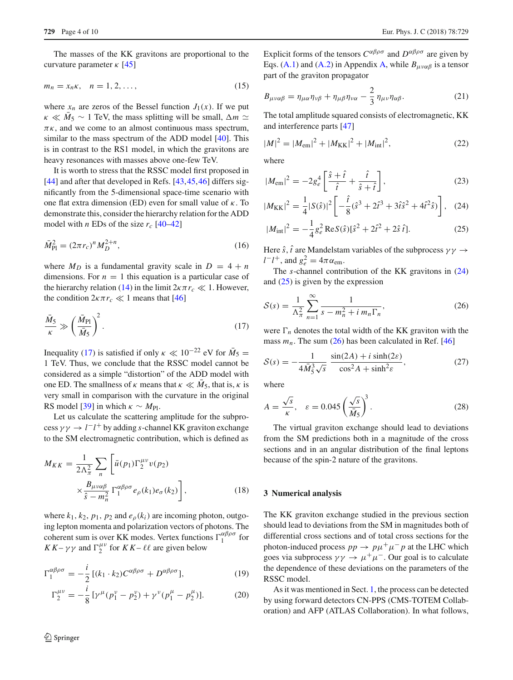The masses of the KK gravitons are proportional to the curvature parameter  $\kappa$  [\[45\]](#page-9-18)

<span id="page-3-4"></span>
$$
m_n = x_n \kappa, \quad n = 1, 2, \dots,
$$
\n<sup>(15)</sup>

where  $x_n$  are zeros of the Bessel function  $J_1(x)$ . If we put  $\kappa \ll M_5 \sim 1$  TeV, the mass splitting will be small,  $\Delta m \simeq$  $\pi$ <sub>K</sub>, and we come to an almost continuous mass spectrum, similar to the mass spectrum of the ADD model [\[40\]](#page-9-13). This is in contrast to the RS1 model, in which the gravitons are heavy resonances with masses above one-few TeV.

It is worth to stress that the RSSC model first proposed in [\[44](#page-9-16)] and after that developed in Refs. [\[43](#page-9-15)[,45](#page-9-18)[,46](#page-9-17)] differs significantly from the 5-dimensional space-time scenario with one flat extra dimension (ED) even for small value of  $\kappa$ . To demonstrate this, consider the hierarchy relation for the ADD model with *n* EDs of the size  $r_c$  [\[40](#page-9-13)[–42](#page-9-14)]

$$
\bar{M}_{\rm Pl}^2 = (2\pi r_c)^n M_D^{2+n},\tag{16}
$$

where  $M_D$  is a fundamental gravity scale in  $D = 4 + n$ dimensions. For  $n = 1$  this equation is a particular case of the hierarchy relation [\(14\)](#page-2-4) in the limit  $2\kappa \pi r_c \ll 1$ . However, the condition  $2\kappa \pi r_c \ll 1$  means that [\[46\]](#page-9-17)

<span id="page-3-0"></span>
$$
\frac{\bar{M}_5}{\kappa} \gg \left(\frac{\bar{M}_{\rm Pl}}{\bar{M}_5}\right)^2.
$$
\n(17)

Inequality [\(17\)](#page-3-0) is satisfied if only  $\kappa \ll 10^{-22}$  eV for  $\bar{M}_5 =$ 1 TeV. Thus, we conclude that the RSSC model cannot be considered as a simple "distortion" of the ADD model with one ED. The smallness of  $\kappa$  means that  $\kappa \ll M_5$ , that is,  $\kappa$  is very small in comparison with the curvature in the original RS model [\[39](#page-9-12)] in which  $\kappa \sim M_{\text{Pl}}$ .

Let us calculate the scattering amplitude for the subpro- $\cos y \gamma \rightarrow l^- l^+$  by adding *s*-channel KK graviton exchange to the SM electromagnetic contribution, which is defined as

$$
M_{KK} = \frac{1}{2\Lambda_{\pi}^2} \sum_{n} \left[ \bar{u}(p_1) \Gamma_2^{\mu\nu} v(p_2) \times \frac{B_{\mu\nu\alpha\beta}}{\hat{s} - m_n^2} \Gamma_1^{\alpha\beta\rho\sigma} e_{\rho}(k_1) e_{\sigma}(k_2) \right],
$$
 (18)

where  $k_1, k_2, p_1, p_2$  and  $e_\rho(k_i)$  are incoming photon, outgoing lepton momenta and polarization vectors of photons. The coherent sum is over KK modes. Vertex functions  $\Gamma_1^{\alpha\beta\rho\sigma}$  for  $KK - \gamma \gamma$  and  $\Gamma_2^{\mu\nu}$  for  $KK - \ell\ell$  are given below

<span id="page-3-5"></span>
$$
\Gamma_1^{\alpha\beta\rho\sigma} = -\frac{i}{2} \left[ (k_1 \cdot k_2) C^{\alpha\beta\rho\sigma} + D^{\alpha\beta\rho\sigma} \right],\tag{19}
$$

$$
\Gamma_2^{\mu\nu} = -\frac{i}{8} \left[ \gamma^{\mu} (p_1^{\nu} - p_2^{\nu}) + \gamma^{\nu} (p_1^{\mu} - p_2^{\mu}) \right]. \tag{20}
$$

Explicit forms of the tensors  $C^{\alpha\beta\rho\sigma}$  and  $D^{\alpha\beta\rho\sigma}$  are given by Eqs. [\(A.1\)](#page-8-6) and [\(A.2\)](#page-8-6) in Appendix [A,](#page-8-7) while  $B_{\mu\nu\alpha\beta}$  is a tensor part of the graviton propagator

$$
B_{\mu\nu\alpha\beta} = \eta_{\mu\alpha}\eta_{\nu\beta} + \eta_{\mu\beta}\eta_{\nu\alpha} - \frac{2}{3}\eta_{\mu\nu}\eta_{\alpha\beta}.
$$
 (21)

The total amplitude squared consists of electromagnetic, KK and interference parts [\[47](#page-9-19)]

$$
|M|^2 = |M_{\text{em}}|^2 + |M_{\text{KK}}|^2 + |M_{\text{int}}|^2,\tag{22}
$$

where

<span id="page-3-1"></span>
$$
|M_{\rm em}|^2 = -2g_e^4 \left[ \frac{\hat{s} + \hat{t}}{\hat{t}} + \frac{\hat{t}}{\hat{s} + \hat{t}} \right],
$$
 (23)

$$
|M_{\rm KK}|^2 = \frac{1}{4}|S(\hat{s})|^2 \left[ -\frac{\hat{t}}{8}(\hat{s}^3 + 2\hat{t}^3 + 3\hat{t}\hat{s}^2 + 4\hat{t}^2\hat{s}) \right], \quad (24)
$$

$$
|M_{\text{int}}|^2 = -\frac{1}{4}g_e^2 \operatorname{Re} S(\hat{s})[\hat{s}^2 + 2\hat{t}^2 + 2\hat{s}\,\hat{t}].\tag{25}
$$

Here  $\hat{s}$ ,  $\hat{t}$  are Mandelstam variables of the subprocess  $\gamma \gamma \rightarrow$  $l-l^+$ , and  $g_e^2 = 4\pi \alpha_{\text{em}}$ .

The *s*-channel contribution of the KK gravitons in [\(24\)](#page-3-1) and [\(25\)](#page-3-1) is given by the expression

<span id="page-3-2"></span>
$$
S(s) = \frac{1}{\Lambda_{\pi}^{2}} \sum_{n=1}^{\infty} \frac{1}{s - m_{n}^{2} + i m_{n} \Gamma_{n}},
$$
 (26)

were  $\Gamma_n$  denotes the total width of the KK graviton with the mass  $m_n$ . The sum [\(26\)](#page-3-2) has been calculated in Ref. [\[46](#page-9-17)]

<span id="page-3-3"></span>
$$
S(s) = -\frac{1}{4\bar{M}_5^3\sqrt{s}} \frac{\sin(2A) + i\sinh(2\varepsilon)}{\cos^2 A + \sinh^2 \varepsilon},\tag{27}
$$

where

$$
A = \frac{\sqrt{s}}{\kappa}, \quad \varepsilon = 0.045 \left(\frac{\sqrt{s}}{\bar{M}_5}\right)^3. \tag{28}
$$

The virtual graviton exchange should lead to deviations from the SM predictions both in a magnitude of the cross sections and in an angular distribution of the final leptons because of the spin-2 nature of the gravitons.

#### **3 Numerical analysis**

The KK graviton exchange studied in the previous section should lead to deviations from the SM in magnitudes both of differential cross sections and of total cross sections for the photon-induced process  $pp \to p\mu^+\mu^- p$  at the LHC which goes via subprocess  $\gamma \gamma \rightarrow \mu^+ \mu^-$ . Our goal is to calculate the dependence of these deviations on the parameters of the RSSC model.

As it was mentioned in Sect. [1,](#page-0-1) the process can be detected by using forward detectors CN-PPS (CMS-TOTEM Collaboration) and AFP (ATLAS Collaboration). In what follows,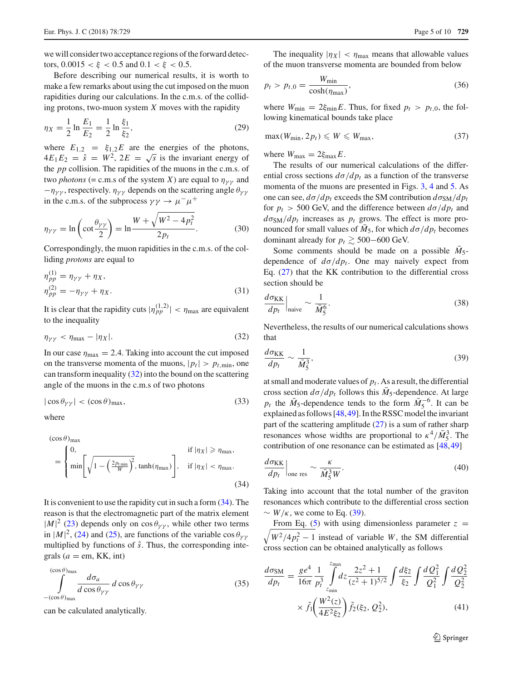we will consider two acceptance regions of the forward detectors,  $0.0015 < \xi < 0.5$  and  $0.1 < \xi < 0.5$ .

Before describing our numerical results, it is worth to make a few remarks about using the cut imposed on the muon rapidities during our calculations. In the c.m.s. of the colliding protons, two-muon system *X* moves with the rapidity

$$
\eta_X = \frac{1}{2} \ln \frac{E_1}{E_2} = \frac{1}{2} \ln \frac{\xi_1}{\xi_2},\tag{29}
$$

where  $E_{1,2} = \xi_{1,2}E$  are the energies of the photons,  $4E_1E_2 = \hat{s} = W^2$ ,  $2E = \sqrt{s}$  is the invariant energy of the *pp* collision. The rapidities of the muons in the c.m.s. of two *photons* (= c.m.s of the system *X*) are equal to  $\eta_{\gamma\gamma}$  and  $-\eta_{\gamma\gamma}$ , respectively.  $\eta_{\gamma\gamma}$  depends on the scattering angle  $\theta_{\gamma\gamma}$ in the c.m.s. of the subprocess  $\gamma \gamma \rightarrow \mu^- \mu^+$ 

$$
\eta_{\gamma\gamma} = \ln\left(\cot\frac{\theta_{\gamma\gamma}}{2}\right) = \ln\frac{W + \sqrt{W^2 - 4p_t^2}}{2p_t}.
$$
 (30)

Correspondingly, the muon rapidities in the c.m.s. of the colliding *protons* are equal to

$$
\eta_{pp}^{(1)} = \eta_{\gamma\gamma} + \eta_X,
$$
  
\n
$$
\eta_{pp}^{(2)} = -\eta_{\gamma\gamma} + \eta_X.
$$
\n(31)

It is clear that the rapidity cuts  $|\eta_{pp}^{(1,2)}| < \eta_{\text{max}}$  are equivalent to the inequality

<span id="page-4-0"></span>
$$
\eta_{\gamma\gamma} < \eta_{\text{max}} - |\eta_X|.\tag{32}
$$

In our case  $\eta_{\text{max}} = 2.4$ . Taking into account the cut imposed on the transverse momenta of the muons,  $|p_t| > p_{t,\text{min}}$ , one can transform inequality  $(32)$  into the bound on the scattering angle of the muons in the c.m.s of two photons

$$
|\cos \theta_{\gamma\gamma}| < (\cos \theta)_{\text{max}},\tag{33}
$$

where

 $(1)$ 

<span id="page-4-1"></span>
$$
(\cos \theta)_{\max} = \begin{cases} 0, & \text{if } |\eta_X| \ge \eta_{\max}, \\ \min \left[ \sqrt{1 - \left( \frac{2p_{\min}}{W} \right)^2}, \tanh(\eta_{\max}) \right], & \text{if } |\eta_X| < \eta_{\max}. \end{cases}
$$
(34)

It is convenient to use the rapidity cut in such a form [\(34\)](#page-4-1). The reason is that the electromagnetic part of the matrix element  $|M|^2$  [\(23\)](#page-3-1) depends only on cos  $\theta_{\gamma\gamma}$ , while other two terms in  $|M|^2$ , [\(24\)](#page-3-1) and [\(25\)](#page-3-1), are functions of the variable  $\cos \theta_{\gamma \gamma}$ multiplied by functions of  $\hat{s}$ . Thus, the corresponding integrals ( $a =$ em, KK, int)

$$
\int_{-(\cos\theta)_{\text{max}}}^{(\cos\theta)_{\text{max}}} \frac{d\sigma_a}{d\cos\theta_{\gamma\gamma}} d\cos\theta_{\gamma\gamma}
$$
 (35)

can be calculated analytically.

The inequality  $|\eta_X| < \eta_{\text{max}}$  means that allowable values of the muon transverse momenta are bounded from below

$$
p_t > p_{t,0} = \frac{W_{\min}}{\cosh(\eta_{\max})},\tag{36}
$$

where  $W_{\text{min}} = 2 \xi_{\text{min}} E$ . Thus, for fixed  $p_t > p_{t,0}$ , the following kinematical bounds take place

$$
\max(W_{\min}, 2p_t) \leqslant W \leqslant W_{\max},\tag{37}
$$

where  $W_{\text{max}} = 2 \xi_{\text{max}} E$ .

The results of our numerical calculations of the differential cross sections  $d\sigma/dp_t$  as a function of the transverse momenta of the muons are presented in Figs. [3,](#page-5-0) [4](#page-5-1) and [5.](#page-6-0) As one can see,  $d\sigma/dp_t$  exceeds the SM contribution  $d\sigma_{\rm SM}/dp_t$ for  $p_t > 500$  GeV, and the difference between  $d\sigma/dp_t$  and  $d\sigma_{\text{SM}}/dp_t$  increases as  $p_t$  grows. The effect is more pronounced for small values of  $\overline{M}_5$ , for which  $d\sigma/dp_t$  becomes dominant already for  $p_t \ge 500-600$  GeV.

Some comments should be made on a possible  $M_5$ dependence of  $d\sigma/dp_t$ . One may naively expect from Eq. [\(27\)](#page-3-3) that the KK contribution to the differential cross section should be

$$
\left. \frac{d\sigma_{KK}}{dp_t} \right|_{\text{naive}} \sim \frac{1}{\bar{M}_5^6}.\tag{38}
$$

Nevertheless, the results of our numerical calculations shows that

<span id="page-4-2"></span>
$$
\frac{d\sigma_{KK}}{dp_t} \sim \frac{1}{\bar{M}_5^3},\tag{39}
$$

at small and moderate values of  $p_t$ . As a result, the differential cross section  $d\sigma/dp_t$  follows this  $\bar{M}_5$ -dependence. At large  $p_t$  the  $\overline{M}_5$ -dependence tends to the form  $\overline{M}_5^{-6}$ . It can be explained as follows [\[48](#page-9-20)[,49](#page-9-21)]. In the RSSC model the invariant part of the scattering amplitude  $(27)$  is a sum of rather sharp resonances whose widths are proportional to  $\kappa^4/\bar{M}_5^3$ . The contribution of one resonance can be estimated as [\[48](#page-9-20)[,49](#page-9-21)]

$$
\left. \frac{d\sigma_{KK}}{dp_t} \right|_{\text{one res}} \sim \frac{\kappa}{\bar{M}_5^3 W}.
$$
\n(40)

Taking into account that the total number of the graviton resonances which contribute to the differential cross section  $\sim$  *W*/ $\kappa$ , we come to Eq. [\(39\)](#page-4-2).

 $\sqrt{W^2/4p_t^2 - 1}$  instead of variable *W*, the SM differential From Eq. [\(5\)](#page-1-1) with using dimensionless parameter  $z =$ cross section can be obtained analytically as follows

<span id="page-4-3"></span>
$$
\frac{d\sigma_{\rm SM}}{dp_t} = \frac{ge^4}{16\pi} \frac{1}{p_t^3} \int_{z_{\rm min}}^{z_{\rm max}} dz \frac{2z^2 + 1}{(z^2 + 1)^{5/2}} \int \frac{d\xi_2}{\xi_2} \int \frac{dQ_1^2}{Q_1^2} \int \frac{dQ_2^2}{Q_2^2} \times \tilde{f}_1 \left(\frac{W^2(z)}{4E^2\xi_2}\right) \tilde{f}_2(\xi_2, Q_2^2), \tag{41}
$$

<sup>2</sup> Springer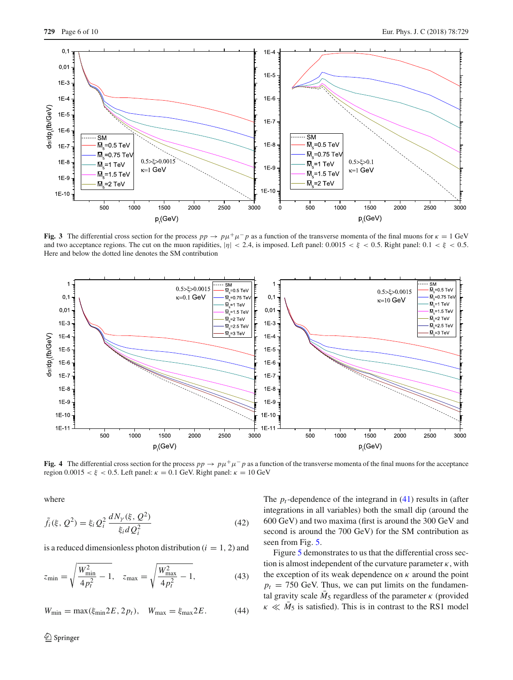

<span id="page-5-0"></span>**Fig. 3** The differential cross section for the process  $pp \to p\mu^+\mu^- p$  as a function of the transverse momenta of the final muons for  $\kappa = 1$  GeV and two acceptance regions. The cut on the muon rapidities,  $|\eta| < 2.4$ , is imposed. Left panel: 0.0015  $\lt \xi$   $\lt$  0.5. Right panel: 0.1  $\lt \xi$   $\lt$  0.5. Here and below the dotted line denotes the SM contribution



<span id="page-5-1"></span>**Fig. 4** The differential cross section for the process  $pp \to p\mu^+\mu^- p$  as a function of the transverse momenta of the final muons for the acceptance region  $0.0015 < \xi < 0.5$ . Left panel:  $\kappa = 0.1$  GeV. Right panel:  $\kappa = 10$  GeV

where

$$
\tilde{f}_i(\xi, Q^2) = \xi_i Q_i^2 \frac{dN_{\gamma}(\xi, Q^2)}{\xi_i dQ_i^2}
$$
\n(42)

is a reduced dimensionless photon distribution  $(i = 1, 2)$  and

$$
z_{\min} = \sqrt{\frac{W_{\min}^2}{4p_t^2} - 1}, \quad z_{\max} = \sqrt{\frac{W_{\max}^2}{4p_t^2} - 1},
$$
 (43)

$$
W_{\min} = \max(\xi_{\min} 2E, 2p_t), \quad W_{\max} = \xi_{\max} 2E. \tag{44}
$$

The  $p_t$ -dependence of the integrand in  $(41)$  results in (after integrations in all variables) both the small dip (around the 600 GeV) and two maxima (first is around the 300 GeV and second is around the 700 GeV) for the SM contribution as seen from Fig. [5.](#page-6-0)

Figure [5](#page-6-0) demonstrates to us that the differential cross section is almost independent of the curvature parameter  $\kappa$ , with the exception of its weak dependence on  $\kappa$  around the point  $p_t$  = 750 GeV. Thus, we can put limits on the fundamental gravity scale  $M_5$  regardless of the parameter  $\kappa$  (provided  $\kappa \ll M_5$  is satisfied). This is in contrast to the RS1 model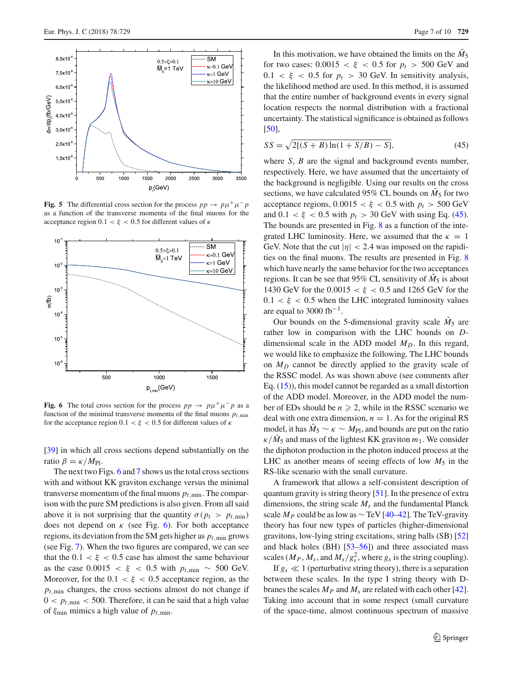

<span id="page-6-0"></span>**Fig. 5** The differential cross section for the process  $pp \rightarrow pp\mu^+\mu^- p$ as a function of the transverse momenta of the final muons for the acceptance region  $0.1 < \xi < 0.5$  for different values of  $\kappa$ 



<span id="page-6-1"></span>**Fig. 6** The total cross section for the process  $pp \rightarrow p\mu^+\mu^-p$  as a function of the minimal transverse momenta of the final muons  $p_t$ <sub>min</sub> for the acceptance region  $0.1 < \xi < 0.5$  for different values of  $\kappa$ 

[\[39](#page-9-12)] in which all cross sections depend substantially on the ratio  $β = \kappa / M_{Pl}$ .

The next two Figs. [6](#page-6-1) and [7](#page-7-0) shows us the total cross sections with and without KK graviton exchange versus the minimal transverse momentum of the final muons  $p_{t,\text{min}}$ . The comparison with the pure SM predictions is also given. From all said above it is not surprising that the quantity  $\sigma(p_t > p_{t,\text{min}})$ does not depend on  $\kappa$  (see Fig. [6\)](#page-6-1). For both acceptance regions, its deviation from the SM gets higher as  $p_{t,\text{min}}$  grows (see Fig. [7\)](#page-7-0). When the two figures are compared, we can see that the  $0.1 < \xi < 0.5$  case has almost the same behaviour as the case  $0.0015 < \xi < 0.5$  with  $p_{t,\text{min}} \sim 500$  GeV. Moreover, for the  $0.1 < \xi < 0.5$  acceptance region, as the  $p_{t,min}$  changes, the cross sections almost do not change if  $0 < p_{t,\text{min}} < 500$ . Therefore, it can be said that a high value of  $\xi_{\text{min}}$  mimics a high value of  $p_{t,\text{min}}$ .

In this motivation, we have obtained the limits on the  $M_5$ for two cases:  $0.0015 < \xi < 0.5$  for  $p_t > 500$  GeV and  $0.1 < \xi < 0.5$  for  $p_t > 30$  GeV. In sensitivity analysis, the likelihood method are used. In this method, it is assumed that the entire number of background events in every signal location respects the normal distribution with a fractional uncertainty. The statistical significance is obtained as follows [\[50](#page-9-22)],

<span id="page-6-2"></span>
$$
SS = \sqrt{2[(S+B)\ln(1+S/B) - S]},
$$
\n(45)

where *S*, *B* are the signal and background events number, respectively. Here, we have assumed that the uncertainty of the background is negligible. Using our results on the cross sections, we have calculated 95% CL bounds on  $\overline{M}_5$  for two acceptance regions,  $0.0015 < \xi < 0.5$  with  $p_t > 500$  GeV and  $0.1 < \xi < 0.5$  with  $p_t > 30$  GeV with using Eq. [\(45\)](#page-6-2). The bounds are presented in Fig. [8](#page-7-1) as a function of the integrated LHC luminosity. Here, we assumed that the  $\kappa = 1$ GeV. Note that the cut  $|\eta| < 2.4$  was imposed on the rapidities on the final muons. The results are presented in Fig. [8](#page-7-1) which have nearly the same behavior for the two acceptances regions. It can be see that 95% CL sensitivity of  $\overline{M}_5$  is about 1430 GeV for the  $0.0015 < \xi < 0.5$  and 1265 GeV for the  $0.1 < \xi < 0.5$  when the LHC integrated luminosity values are equal to 3000 fb<sup>-1</sup>.

Our bounds on the 5-dimensional gravity scale  $M_5$  are rather low in comparison with the LHC bounds on *D*dimensional scale in the ADD model  $M_D$ . In this regard, we would like to emphasize the following. The LHC bounds on *MD* cannot be directly applied to the gravity scale of the RSSC model. As was shown above (see comments after Eq. [\(15\)](#page-3-4)), this model cannot be regarded as a small distortion of the ADD model. Moreover, in the ADD model the number of EDs should be  $n \ge 2$ , while in the RSSC scenario we deal with one extra dimension,  $n = 1$ . As for the original RS model, it has  $M_5 \sim \kappa \sim M_{\text{Pl}}$ , and bounds are put on the ratio  $\kappa/\bar{M}_5$  and mass of the lightest KK graviton  $m_1$ . We consider the diphoton production in the photon induced process at the LHC as another means of seeing effects of low  $M_5$  in the RS-like scenario with the small curvature.

A framework that allows a self-consistent description of quantum gravity is string theory [\[51](#page-9-23)]. In the presence of extra dimensions, the string scale  $M_s$  and the fundamental Planck scale  $M_P$  could be as low as  $\sim$  TeV [\[40](#page-9-13)[–42](#page-9-14)]. The TeV-gravity theory has four new types of particles (higher-dimensional gravitons, low-lying string excitations, string balls (SB) [\[52\]](#page-9-24) and black holes (BH) [\[53](#page-9-25)[–56](#page-9-26)]) and three associated mass scales ( $M_P$ ,  $M_s$ , and  $M_s/g_s^2$ , where  $g_s$  is the string coupling).

If  $g_s \ll 1$  (perturbative string theory), there is a separation between these scales. In the type I string theory with Dbranes the scales  $M_p$  and  $M_s$  are related with each other [\[42](#page-9-14)]. Taking into account that in some respect (small curvature of the space-time, almost continuous spectrum of massive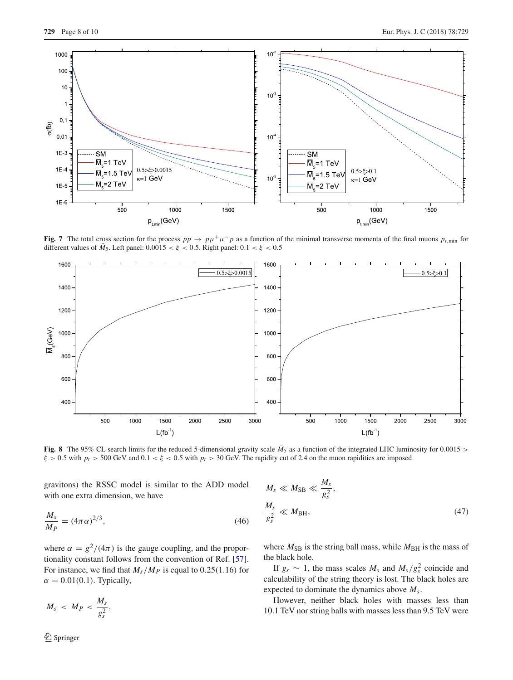

<span id="page-7-0"></span>**Fig. 7** The total cross section for the process  $pp \to pp + \mu^- p$  as a function of the minimal transverse momenta of the final muons  $p_{t,\text{min}}$  for different values of  $\bar{M}_5$ . Left panel:  $0.0015 < \xi < 0.5$ . Right panel:  $0.1 < \xi < 0.5$ 



<span id="page-7-1"></span>**Fig. 8** The 95% CL search limits for the reduced 5-dimensional gravity scale  $\bar{M}_5$  as a function of the integrated LHC luminosity for 0.0015 >  $\xi > 0.5$  with  $p_t > 500$  GeV and  $0.1 < \xi < 0.5$  with  $p_t > 30$  GeV. The rapidity cut of 2.4 on the muon rapidities are imposed

gravitons) the RSSC model is similar to the ADD model with one extra dimension, we have

$$
\frac{M_s}{M_P} = (4\pi\alpha)^{2/3},\tag{46}
$$

where  $\alpha = g^2/(4\pi)$  is the gauge coupling, and the proportionality constant follows from the convention of Ref. [\[57](#page-9-27)]. For instance, we find that  $M_s/M_p$  is equal to 0.25(1.16) for  $\alpha = 0.01(0.1)$ . Typically,

$$
M_s < M_P < \frac{M_s}{g_s^2},
$$

$$
M_s \ll M_{\rm SB} \ll \frac{M_s}{g_s^2},
$$
  

$$
\frac{M_s}{g_s^2} \ll M_{\rm BH},
$$
 (47)

where  $M_{SB}$  is the string ball mass, while  $M_{BH}$  is the mass of the black hole.

If  $g_s \sim 1$ , the mass scales  $M_s$  and  $M_s/g_s^2$  coincide and calculability of the string theory is lost. The black holes are expected to dominate the dynamics above *Ms*.

However, neither black holes with masses less than 10.1 TeV nor string balls with masses less than 9.5 TeV were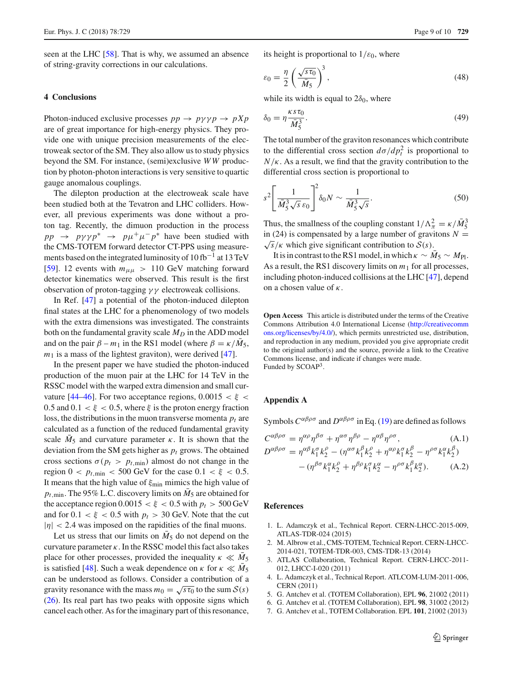seen at the LHC [\[58\]](#page-9-28). That is why, we assumed an absence of string-gravity corrections in our calculations.

## **4 Conclusions**

Photon-induced exclusive processes  $pp \rightarrow py \gamma p \rightarrow p Xp$ are of great importance for high-energy physics. They provide one with unique precision measurements of the electroweak sector of the SM. They also allow us to study physics beyond the SM. For instance, (semi)exclusive *W W* production by photon-photon interactions is very sensitive to quartic gauge anomalous couplings.

The dilepton production at the electroweak scale have been studied both at the Tevatron and LHC colliders. However, all previous experiments was done without a proton tag. Recently, the dimuon production in the process  $pp \rightarrow py\gamma p^* \rightarrow p\mu^+\mu^- p^*$  have been studied with the CMS-TOTEM forward detector CT-PPS using measurements based on the integrated luminosity of  $10 \text{ fb}^{-1}$  at  $13 \text{ TeV}$ [\[59](#page-9-29)]. 12 events with  $m_{\mu\mu} > 110$  GeV matching forward detector kinematics were observed. This result is the first observation of proton-tagging  $\gamma \gamma$  electroweak collisions.

In Ref. [\[47](#page-9-19)] a potential of the photon-induced dilepton final states at the LHC for a phenomenology of two models with the extra dimensions was investigated. The constraints both on the fundamental gravity scale  $M_D$  in the ADD model and on the pair  $\beta - m_1$  in the RS1 model (where  $\beta = \kappa / M_5$ ,  $m_1$  is a mass of the lightest graviton), were derived  $[47]$ .

In the present paper we have studied the photon-induced production of the muon pair at the LHC for 14 TeV in the RSSC model with the warped extra dimension and small cur-vature [\[44](#page-9-16)[–46\]](#page-9-17). For two acceptance regions,  $0.0015 < \xi <$ 0.5 and  $0.1 < \xi < 0.5$ , where  $\xi$  is the proton energy fraction loss, the distributions in the muon transverse momenta  $p_t$  are calculated as a function of the reduced fundamental gravity scale  $\overline{M}_5$  and curvature parameter  $\kappa$ . It is shown that the deviation from the SM gets higher as  $p_t$  grows. The obtained cross sections  $\sigma(p_t > p_{t,\text{min}})$  almost do not change in the region  $0 < p_{t,\text{min}} < 500 \text{ GeV}$  for the case  $0.1 < \xi < 0.5$ . It means that the high value of  $\xi_{\text{min}}$  mimics the high value of  $p_{t,min}$ . The 95% L.C. discovery limits on  $M_5$  are obtained for the acceptance region  $0.0015 < \xi < 0.5$  with  $p_t > 500$  GeV and for  $0.1 < \xi < 0.5$  with  $p_t > 30$  GeV. Note that the cut  $|\eta|$  < 2.4 was imposed on the rapidities of the final muons.

Let us stress that our limits on  $\overline{M}_5$  do not depend on the curvature parameter  $\kappa$ . In the RSSC model this fact also takes place for other processes, provided the inequality  $\kappa \ll M_5$ is satisfied [\[48\]](#page-9-20). Such a weak dependence on  $\kappa$  for  $\kappa \ll M_5$ can be understood as follows. Consider a contribution of a gravity resonance with the mass  $m_0 = \sqrt{s\tau_0}$  to the sum  $S(s)$ [\(26\)](#page-3-2). Its real part has two peaks with opposite signs which cancel each other. As for the imaginary part of this resonance,

its height is proportional to  $1/\varepsilon_0$ , where

$$
\varepsilon_0 = \frac{\eta}{2} \left( \frac{\sqrt{s \tau_0}}{\bar{M}_5} \right)^3,\tag{48}
$$

while its width is equal to  $2\delta_0$ , where

$$
\delta_0 = \eta \frac{\kappa s \tau_0}{\bar{M}_5^3}.
$$
\n(49)

The total number of the graviton resonances which contribute to the differential cross section  $d\sigma/dp_t^2$  is proportional to  $N/\kappa$ . As a result, we find that the gravity contribution to the differential cross section is proportional to

$$
s^2 \left[ \frac{1}{\bar{M}_5^3 \sqrt{s} \, \varepsilon_0} \right]^2 \delta_0 N \sim \frac{1}{\bar{M}_5^3 \sqrt{s}}.
$$

Thus, the smallness of the coupling constant  $1/\Lambda_{\pi}^2 = \kappa/\bar{M}_5^3$ in (24) is compensated by a large number of gravitons  $N = \sqrt{s}/\kappa$  which give significant contribution to  $S(s)$ .

It is in contrast to the RS1 model, in which  $\kappa \sim M_5 \sim M_{\text{Pl}}$ . As a result, the RS1 discovery limits on *m*<sup>1</sup> for all processes, including photon-induced collisions at the LHC [\[47\]](#page-9-19), depend on a chosen value of  $\kappa$ .

**Open Access** This article is distributed under the terms of the Creative Commons Attribution 4.0 International License [\(http://creativecomm](http://creativecommons.org/licenses/by/4.0/) [ons.org/licenses/by/4.0/\)](http://creativecommons.org/licenses/by/4.0/), which permits unrestricted use, distribution, and reproduction in any medium, provided you give appropriate credit to the original author(s) and the source, provide a link to the Creative Commons license, and indicate if changes were made. Funded by SCOAP3.

## <span id="page-8-7"></span>**Appendix A**

Symbols  $C^{\alpha\beta\rho\sigma}$  and  $D^{\alpha\beta\rho\sigma}$  in Eq. [\(19\)](#page-3-5) are defined as follows

<span id="page-8-6"></span>
$$
C^{\alpha\beta\rho\sigma} = \eta^{\alpha\rho}\eta^{\beta\sigma} + \eta^{\alpha\sigma}\eta^{\beta\rho} - \eta^{\alpha\beta}\eta^{\rho\sigma},
$$
\n(A.1)  
\n
$$
D^{\alpha\beta\rho\sigma} = \eta^{\alpha\beta}k_1^{\sigma}k_2^{\rho} - (\eta^{\alpha\sigma}k_1^{\beta}k_2^{\rho} + \eta^{\alpha\rho}k_1^{\sigma}k_2^{\beta} - \eta^{\rho\sigma}k_1^{\alpha}k_2^{\beta})
$$
\n
$$
- (\eta^{\beta\sigma}k_1^{\alpha}k_2^{\rho} + \eta^{\beta\rho}k_1^{\sigma}k_2^{\alpha} - \eta^{\rho\sigma}k_1^{\beta}k_2^{\alpha}).
$$
\n(A.2)

### **References**

- <span id="page-8-0"></span>1. L. Adamczyk et al., Technical Report. CERN-LHCC-2015-009, ATLAS-TDR-024 (2015)
- <span id="page-8-1"></span>2. M. Albrow et al., CMS-TOTEM, Technical Report. CERN-LHCC-2014-021, TOTEM-TDR-003, CMS-TDR-13 (2014)
- <span id="page-8-2"></span>3. ATLAS Collaboration, Technical Report. CERN-LHCC-2011- 012, LHCC-I-020 (2011)
- <span id="page-8-3"></span>4. L. Adamczyk et al., Technical Report. ATLCOM-LUM-2011-006, CERN (2011)
- <span id="page-8-4"></span>5. G. Antchev et al. (TOTEM Collaboration), EPL **96**, 21002 (2011)
- 6. G. Antchev et al. (TOTEM Collaboration), EPL **98**, 31002 (2012)
- <span id="page-8-5"></span>7. G. Antchev et al., TOTEM Collaboration. EPL **101**, 21002 (2013)